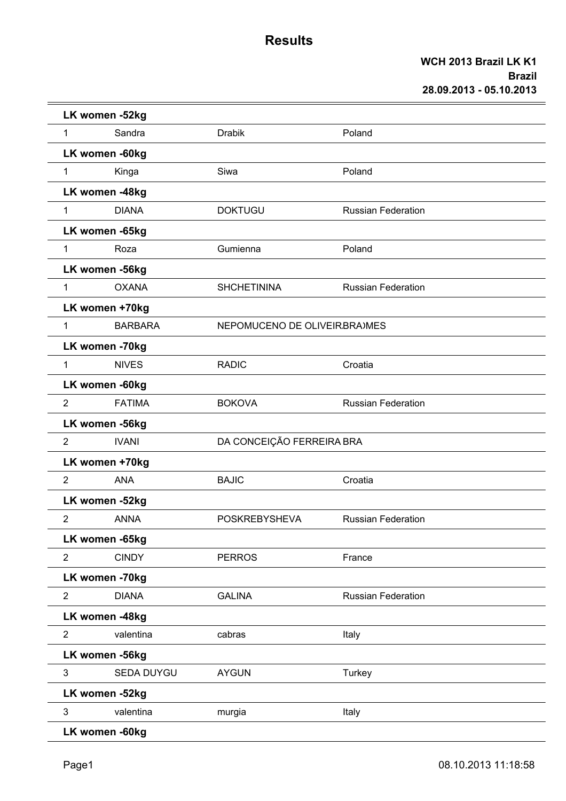|                | LK women -52kg    |                              |                           |  |
|----------------|-------------------|------------------------------|---------------------------|--|
| $\mathbf{1}$   | Sandra            | <b>Drabik</b>                | Poland                    |  |
|                | LK women -60kg    |                              |                           |  |
| 1              | Kinga             | Siwa                         | Poland                    |  |
|                | LK women -48kg    |                              |                           |  |
| $\mathbf 1$    | <b>DIANA</b>      | <b>DOKTUGU</b>               | <b>Russian Federation</b> |  |
|                | LK women -65kg    |                              |                           |  |
| $\mathbf{1}$   | Roza              | Gumienna                     | Poland                    |  |
|                | LK women -56kg    |                              |                           |  |
| $\mathbf{1}$   | <b>OXANA</b>      | <b>SHCHETININA</b>           | <b>Russian Federation</b> |  |
|                | LK women +70kg    |                              |                           |  |
| $\mathbf{1}$   | <b>BARBARA</b>    | NEPOMUCENO DE OLIVEIRBRA)MES |                           |  |
|                | LK women -70kg    |                              |                           |  |
| 1              | <b>NIVES</b>      | <b>RADIC</b>                 | Croatia                   |  |
|                | LK women -60kg    |                              |                           |  |
| $\overline{2}$ | <b>FATIMA</b>     | <b>BOKOVA</b>                | <b>Russian Federation</b> |  |
|                | LK women -56kg    |                              |                           |  |
| $\overline{2}$ | <b>IVANI</b>      | DA CONCEIÇÃO FERREIRA BRA    |                           |  |
|                | LK women +70kg    |                              |                           |  |
| $\overline{2}$ | <b>ANA</b>        | <b>BAJIC</b>                 | Croatia                   |  |
|                | LK women -52kg    |                              |                           |  |
| $\overline{2}$ | <b>ANNA</b>       | <b>POSKREBYSHEVA</b>         | <b>Russian Federation</b> |  |
|                | LK women -65kg    |                              |                           |  |
| $\overline{2}$ | <b>CINDY</b>      | <b>PERROS</b>                | France                    |  |
|                | LK women -70kg    |                              |                           |  |
| $\overline{2}$ | <b>DIANA</b>      | <b>GALINA</b>                | <b>Russian Federation</b> |  |
|                | LK women -48kg    |                              |                           |  |
| 2              | valentina         | cabras                       | Italy                     |  |
|                | LK women -56kg    |                              |                           |  |
| 3              | <b>SEDA DUYGU</b> | <b>AYGUN</b>                 | Turkey                    |  |
|                | LK women -52kg    |                              |                           |  |
| $\mathbf{3}$   | valentina         | murgia                       | Italy                     |  |
|                | LK women -60kg    |                              |                           |  |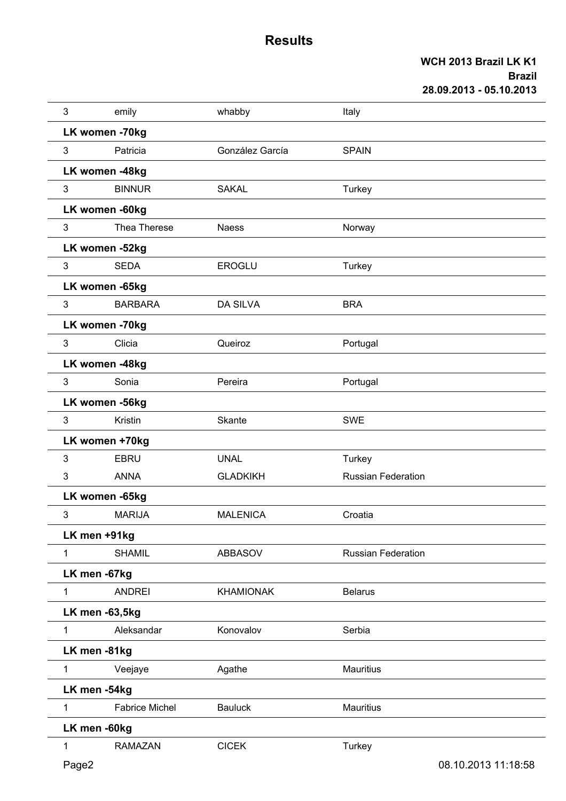| 3              | emily                 | whabby           | Italy                     |                     |
|----------------|-----------------------|------------------|---------------------------|---------------------|
|                | LK women -70kg        |                  |                           |                     |
| $\mathbf{3}$   | Patricia              | González García  | <b>SPAIN</b>              |                     |
|                | LK women -48kg        |                  |                           |                     |
| 3              | <b>BINNUR</b>         | <b>SAKAL</b>     | Turkey                    |                     |
|                | LK women -60kg        |                  |                           |                     |
| $\mathbf{3}$   | Thea Therese          | <b>Naess</b>     | Norway                    |                     |
|                | LK women -52kg        |                  |                           |                     |
| $\mathfrak{S}$ | <b>SEDA</b>           | <b>EROGLU</b>    | Turkey                    |                     |
|                | LK women -65kg        |                  |                           |                     |
| $\mathfrak{S}$ | <b>BARBARA</b>        | <b>DA SILVA</b>  | <b>BRA</b>                |                     |
|                | LK women -70kg        |                  |                           |                     |
| 3              | Clicia                | Queiroz          | Portugal                  |                     |
|                | LK women -48kg        |                  |                           |                     |
| 3              | Sonia                 | Pereira          | Portugal                  |                     |
|                | LK women -56kg        |                  |                           |                     |
| 3              | Kristin               | Skante           | <b>SWE</b>                |                     |
|                | LK women +70kg        |                  |                           |                     |
| 3              | <b>EBRU</b>           | <b>UNAL</b>      | Turkey                    |                     |
| 3              | <b>ANNA</b>           | <b>GLADKIKH</b>  | <b>Russian Federation</b> |                     |
|                | LK women -65kg        |                  |                           |                     |
| 3              | <b>MARIJA</b>         | <b>MALENICA</b>  | Croatia                   |                     |
|                | LK men +91kg          |                  |                           |                     |
| $\mathbf{1}$   | <b>SHAMIL</b>         | <b>ABBASOV</b>   | <b>Russian Federation</b> |                     |
|                | LK men -67kg          |                  |                           |                     |
| $\mathbf{1}$   | <b>ANDREI</b>         | <b>KHAMIONAK</b> | <b>Belarus</b>            |                     |
|                | LK men -63,5kg        |                  |                           |                     |
| $\mathbf{1}$   | Aleksandar            | Konovalov        | Serbia                    |                     |
|                | LK men -81kg          |                  |                           |                     |
| $\mathbf{1}$   | Veejaye               | Agathe           | <b>Mauritius</b>          |                     |
|                | LK men -54kg          |                  |                           |                     |
| 1              | <b>Fabrice Michel</b> | <b>Bauluck</b>   | <b>Mauritius</b>          |                     |
|                | LK men -60kg          |                  |                           |                     |
| $\mathbf{1}$   | <b>RAMAZAN</b>        | <b>CICEK</b>     | Turkey                    |                     |
| Page2          |                       |                  |                           | 08.10.2013 11:18:58 |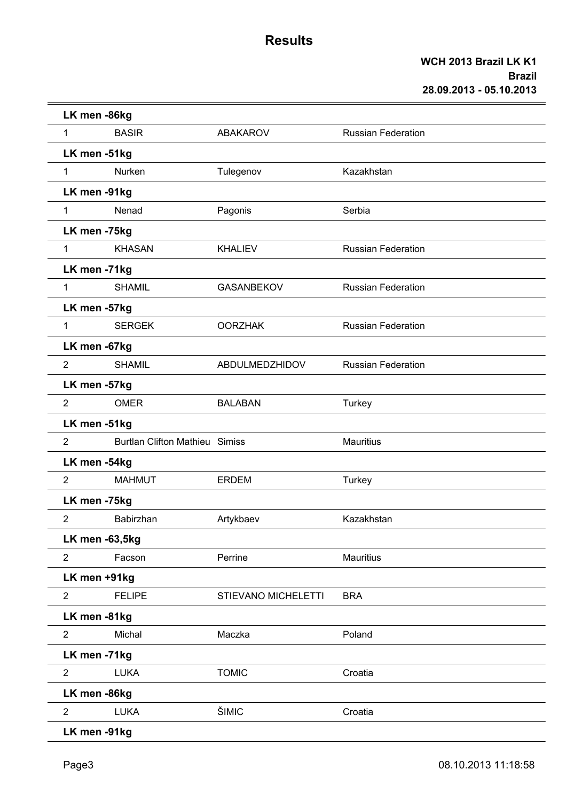| LK men -86kg   |                                       |                     |                           |
|----------------|---------------------------------------|---------------------|---------------------------|
| 1              | <b>BASIR</b>                          | <b>ABAKAROV</b>     | <b>Russian Federation</b> |
| LK men -51kg   |                                       |                     |                           |
| $\mathbf{1}$   | Nurken                                | Tulegenov           | Kazakhstan                |
| LK men -91kg   |                                       |                     |                           |
| $\mathbf{1}$   | Nenad                                 | Pagonis             | Serbia                    |
| LK men -75kg   |                                       |                     |                           |
| $\mathbf{1}$   | <b>KHASAN</b>                         | <b>KHALIEV</b>      | <b>Russian Federation</b> |
| LK men -71kg   |                                       |                     |                           |
| 1              | <b>SHAMIL</b>                         | <b>GASANBEKOV</b>   | <b>Russian Federation</b> |
| LK men -57kg   |                                       |                     |                           |
| $\mathbf{1}$   | <b>SERGEK</b>                         | <b>OORZHAK</b>      | <b>Russian Federation</b> |
| LK men -67kg   |                                       |                     |                           |
| $\overline{2}$ | <b>SHAMIL</b>                         | ABDULMEDZHIDOV      | <b>Russian Federation</b> |
| LK men -57kg   |                                       |                     |                           |
| 2              | <b>OMER</b>                           | <b>BALABAN</b>      | Turkey                    |
| LK men -51kg   |                                       |                     |                           |
| $\overline{2}$ | <b>Burtlan Clifton Mathieu Simiss</b> |                     | <b>Mauritius</b>          |
| LK men -54kg   |                                       |                     |                           |
| $\overline{2}$ | <b>MAHMUT</b>                         | <b>ERDEM</b>        | Turkey                    |
| LK men -75kg   |                                       |                     |                           |
| $\overline{2}$ | Babirzhan                             | Artykbaev           | Kazakhstan                |
| LK men -63,5kg |                                       |                     |                           |
| $\overline{2}$ | Facson                                | Perrine             | <b>Mauritius</b>          |
| LK men +91kg   |                                       |                     |                           |
| $\overline{2}$ | <b>FELIPE</b>                         | STIEVANO MICHELETTI | <b>BRA</b>                |
| LK men -81kg   |                                       |                     |                           |
| $\overline{2}$ | Michal                                | Maczka              | Poland                    |
| LK men -71kg   |                                       |                     |                           |
| $\overline{2}$ | <b>LUKA</b>                           | <b>TOMIC</b>        | Croatia                   |
| LK men -86kg   |                                       |                     |                           |
| $\overline{2}$ | <b>LUKA</b>                           | ŠIMIC               | Croatia                   |
| LK men -91kg   |                                       |                     |                           |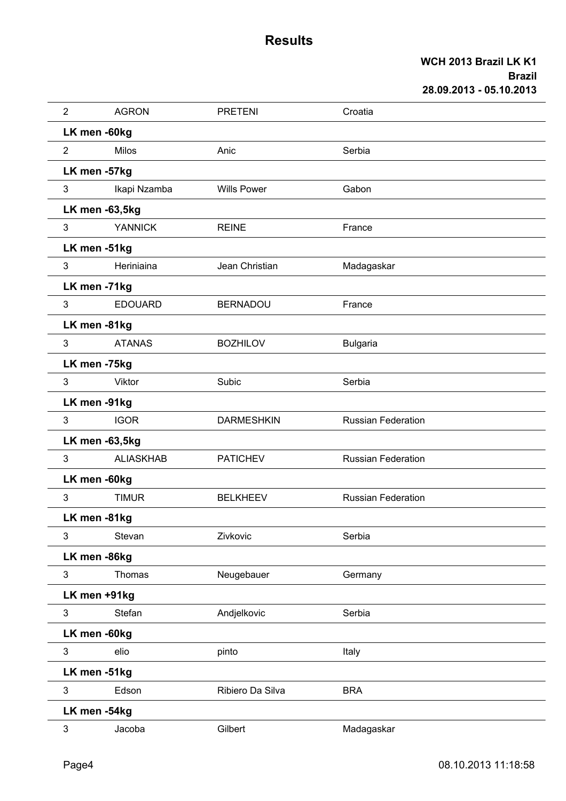| $\overline{2}$ | <b>AGRON</b>     | <b>PRETENI</b>     | Croatia                   |
|----------------|------------------|--------------------|---------------------------|
| LK men -60kg   |                  |                    |                           |
| $\overline{2}$ | <b>Milos</b>     | Anic               | Serbia                    |
| LK men -57kg   |                  |                    |                           |
| 3              | Ikapi Nzamba     | <b>Wills Power</b> | Gabon                     |
| LK men -63,5kg |                  |                    |                           |
| 3              | <b>YANNICK</b>   | <b>REINE</b>       | France                    |
| LK men -51kg   |                  |                    |                           |
| 3              | Heriniaina       | Jean Christian     | Madagaskar                |
| LK men -71kg   |                  |                    |                           |
| 3              | <b>EDOUARD</b>   | <b>BERNADOU</b>    | France                    |
| LK men -81kg   |                  |                    |                           |
| 3              | <b>ATANAS</b>    | <b>BOZHILOV</b>    | <b>Bulgaria</b>           |
| LK men -75kg   |                  |                    |                           |
| 3              | Viktor           | Subic              | Serbia                    |
| LK men -91kg   |                  |                    |                           |
| 3              | <b>IGOR</b>      | <b>DARMESHKIN</b>  | <b>Russian Federation</b> |
| LK men -63,5kg |                  |                    |                           |
| 3              | <b>ALIASKHAB</b> | <b>PATICHEV</b>    | <b>Russian Federation</b> |
| LK men -60kg   |                  |                    |                           |
| 3              | <b>TIMUR</b>     | <b>BELKHEEV</b>    | <b>Russian Federation</b> |
| LK men -81kg   |                  |                    |                           |
| 3              | Stevan           | Zivkovic           | Serbia                    |
| LK men -86kg   |                  |                    |                           |
| 3              | <b>Thomas</b>    | Neugebauer         | Germany                   |
| LK men +91kg   |                  |                    |                           |
| 3              | Stefan           | Andjelkovic        | Serbia                    |
| LK men -60kg   |                  |                    |                           |
| $\mathfrak{S}$ | elio             | pinto              | Italy                     |
| LK men -51kg   |                  |                    |                           |
| 3              | Edson            | Ribiero Da Silva   | <b>BRA</b>                |
| LK men -54kg   |                  |                    |                           |
| 3              | Jacoba           | Gilbert            | Madagaskar                |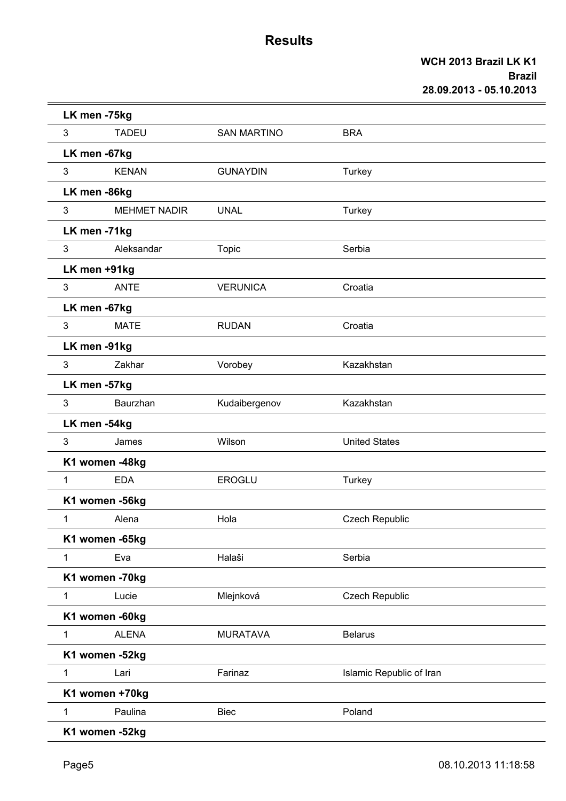|                | LK men -75kg        |                    |                          |  |
|----------------|---------------------|--------------------|--------------------------|--|
| $\mathfrak{S}$ | <b>TADEU</b>        | <b>SAN MARTINO</b> | <b>BRA</b>               |  |
|                | LK men -67kg        |                    |                          |  |
| 3              | <b>KENAN</b>        | <b>GUNAYDIN</b>    | Turkey                   |  |
|                | LK men -86kg        |                    |                          |  |
| $\mathbf{3}$   | <b>MEHMET NADIR</b> | <b>UNAL</b>        | Turkey                   |  |
|                | LK men -71kg        |                    |                          |  |
| 3              | Aleksandar          | <b>Topic</b>       | Serbia                   |  |
|                | LK men +91kg        |                    |                          |  |
| $\mathfrak{S}$ | <b>ANTE</b>         | <b>VERUNICA</b>    | Croatia                  |  |
|                | LK men -67kg        |                    |                          |  |
| 3              | <b>MATE</b>         | <b>RUDAN</b>       | Croatia                  |  |
|                | LK men -91kg        |                    |                          |  |
| 3              | Zakhar              | Vorobey            | Kazakhstan               |  |
|                | LK men -57kg        |                    |                          |  |
| 3              | Baurzhan            | Kudaibergenov      | Kazakhstan               |  |
|                | LK men -54kg        |                    |                          |  |
| 3              | James               | Wilson             | <b>United States</b>     |  |
|                | K1 women -48kg      |                    |                          |  |
| 1              | <b>EDA</b>          | EROGLU             | Turkey                   |  |
|                | K1 women -56kg      |                    |                          |  |
| 1              | Alena               | Hola               | <b>Czech Republic</b>    |  |
|                | K1 women -65kg      |                    |                          |  |
| $\mathbf{1}$   | Eva                 | Halaši             | Serbia                   |  |
|                | K1 women -70kg      |                    |                          |  |
| $\mathbf{1}$   | Lucie               | Mlejnková          | Czech Republic           |  |
|                | K1 women -60kg      |                    |                          |  |
| 1              | <b>ALENA</b>        | <b>MURATAVA</b>    | <b>Belarus</b>           |  |
|                | K1 women -52kg      |                    |                          |  |
| $\mathbf{1}$   | Lari                | Farinaz            | Islamic Republic of Iran |  |
|                | K1 women +70kg      |                    |                          |  |
| 1              | Paulina             | <b>Biec</b>        | Poland                   |  |
|                | K1 women -52kg      |                    |                          |  |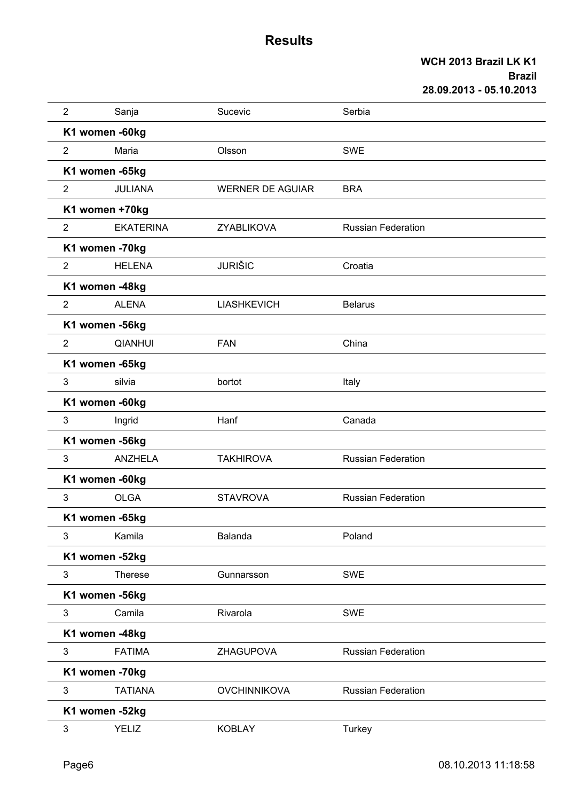| $\overline{2}$ | Sanja            | Sucevic                 | Serbia                    |
|----------------|------------------|-------------------------|---------------------------|
|                | K1 women -60kg   |                         |                           |
| $\overline{2}$ | Maria            | Olsson                  | <b>SWE</b>                |
|                | K1 women -65kg   |                         |                           |
| $\overline{2}$ | <b>JULIANA</b>   | <b>WERNER DE AGUIAR</b> | <b>BRA</b>                |
|                | K1 women +70kg   |                         |                           |
| $\overline{2}$ | <b>EKATERINA</b> | ZYABLIKOVA              | <b>Russian Federation</b> |
|                | K1 women -70kg   |                         |                           |
| $\overline{2}$ | <b>HELENA</b>    | <b>JURIŠIC</b>          | Croatia                   |
|                | K1 women -48kg   |                         |                           |
| $\overline{2}$ | <b>ALENA</b>     | <b>LIASHKEVICH</b>      | <b>Belarus</b>            |
|                | K1 women -56kg   |                         |                           |
| $\overline{2}$ | <b>QIANHUI</b>   | <b>FAN</b>              | China                     |
|                | K1 women -65kg   |                         |                           |
| 3              | silvia           | bortot                  | Italy                     |
|                | K1 women -60kg   |                         |                           |
| 3              | Ingrid           | Hanf                    | Canada                    |
|                | K1 women -56kg   |                         |                           |
| 3              | <b>ANZHELA</b>   | <b>TAKHIROVA</b>        | <b>Russian Federation</b> |
|                | K1 women -60kg   |                         |                           |
| 3              | <b>OLGA</b>      | <b>STAVROVA</b>         | <b>Russian Federation</b> |
|                | K1 women -65kg   |                         |                           |
| 3              | Kamila           | Balanda                 | Poland                    |
|                | K1 women -52kg   |                         |                           |
| 3              | <b>Therese</b>   | Gunnarsson              | <b>SWE</b>                |
|                | K1 women -56kg   |                         |                           |
| 3              | Camila           | Rivarola                | SWE                       |
|                | K1 women -48kg   |                         |                           |
| 3              | <b>FATIMA</b>    | ZHAGUPOVA               | <b>Russian Federation</b> |
|                | K1 women -70kg   |                         |                           |
| 3              | <b>TATIANA</b>   | <b>OVCHINNIKOVA</b>     | <b>Russian Federation</b> |
|                | K1 women -52kg   |                         |                           |
| 3              | <b>YELIZ</b>     | <b>KOBLAY</b>           | <b>Turkey</b>             |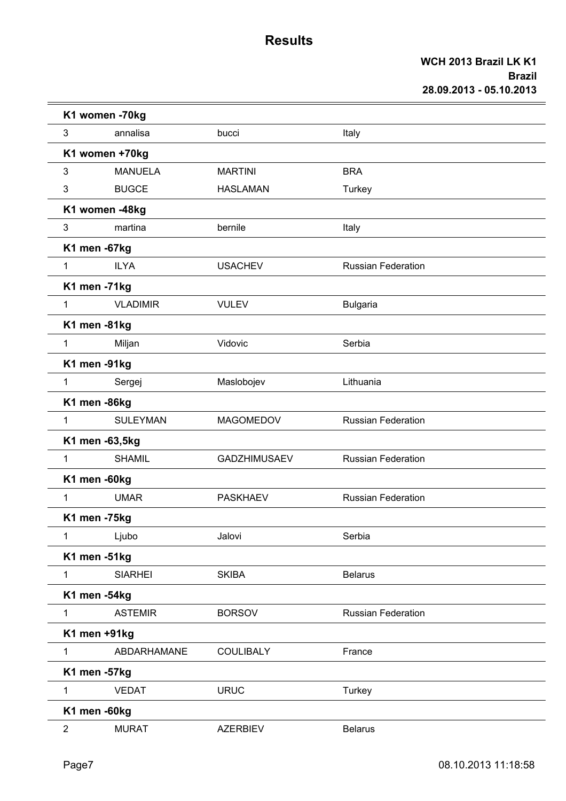|                | K1 women -70kg  |                     |                           |  |  |  |  |
|----------------|-----------------|---------------------|---------------------------|--|--|--|--|
| 3              | annalisa        | bucci               | Italy                     |  |  |  |  |
|                | K1 women +70kg  |                     |                           |  |  |  |  |
| 3              | <b>MANUELA</b>  | <b>MARTINI</b>      | <b>BRA</b>                |  |  |  |  |
| 3              | <b>BUGCE</b>    | <b>HASLAMAN</b>     | Turkey                    |  |  |  |  |
|                | K1 women -48kg  |                     |                           |  |  |  |  |
| 3              | martina         | bernile             | Italy                     |  |  |  |  |
| K1 men -67kg   |                 |                     |                           |  |  |  |  |
| $\mathbf{1}$   | <b>ILYA</b>     | <b>USACHEV</b>      | <b>Russian Federation</b> |  |  |  |  |
| K1 men -71kg   |                 |                     |                           |  |  |  |  |
| $\mathbf{1}$   | <b>VLADIMIR</b> | <b>VULEV</b>        | <b>Bulgaria</b>           |  |  |  |  |
| K1 men -81kg   |                 |                     |                           |  |  |  |  |
| $\mathbf{1}$   | Miljan          | Vidovic             | Serbia                    |  |  |  |  |
| K1 men -91kg   |                 |                     |                           |  |  |  |  |
| $\mathbf{1}$   | Sergej          | Maslobojev          | Lithuania                 |  |  |  |  |
| K1 men -86kg   |                 |                     |                           |  |  |  |  |
| $\mathbf{1}$   | <b>SULEYMAN</b> | <b>MAGOMEDOV</b>    | <b>Russian Federation</b> |  |  |  |  |
|                | K1 men -63,5kg  |                     |                           |  |  |  |  |
| $\mathbf{1}$   | <b>SHAMIL</b>   | <b>GADZHIMUSAEV</b> | <b>Russian Federation</b> |  |  |  |  |
| K1 men -60kg   |                 |                     |                           |  |  |  |  |
| 1              | <b>UMAR</b>     | <b>PASKHAEV</b>     | <b>Russian Federation</b> |  |  |  |  |
| K1 men -75kg   |                 |                     |                           |  |  |  |  |
| 1              | Ljubo           | Jalovi              | Serbia                    |  |  |  |  |
| K1 men -51kg   |                 |                     |                           |  |  |  |  |
| $\mathbf{1}$   | <b>SIARHEI</b>  | <b>SKIBA</b>        | <b>Belarus</b>            |  |  |  |  |
| K1 men -54kg   |                 |                     |                           |  |  |  |  |
| $\mathbf{1}$   | <b>ASTEMIR</b>  | <b>BORSOV</b>       | <b>Russian Federation</b> |  |  |  |  |
| K1 men +91kg   |                 |                     |                           |  |  |  |  |
| $\mathbf{1}$   | ABDARHAMANE     | <b>COULIBALY</b>    | France                    |  |  |  |  |
| K1 men -57kg   |                 |                     |                           |  |  |  |  |
| 1              | <b>VEDAT</b>    | <b>URUC</b>         | Turkey                    |  |  |  |  |
| K1 men -60kg   |                 |                     |                           |  |  |  |  |
| $\overline{2}$ | <b>MURAT</b>    | <b>AZERBIEV</b>     | <b>Belarus</b>            |  |  |  |  |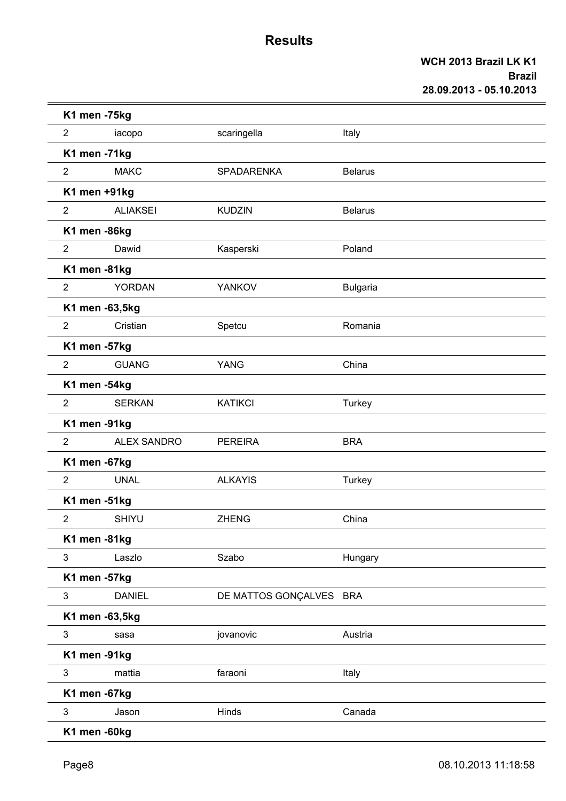| K1 men -75kg   |                    |                         |                 |
|----------------|--------------------|-------------------------|-----------------|
| $\overline{2}$ | iacopo             | scaringella             | Italy           |
| K1 men -71kg   |                    |                         |                 |
| $\overline{2}$ | <b>MAKC</b>        | SPADARENKA              | <b>Belarus</b>  |
| K1 men +91kg   |                    |                         |                 |
| $\overline{2}$ | <b>ALIAKSEI</b>    | <b>KUDZIN</b>           | <b>Belarus</b>  |
| K1 men -86kg   |                    |                         |                 |
| $\overline{2}$ | Dawid              | Kasperski               | Poland          |
| K1 men -81kg   |                    |                         |                 |
| $\overline{2}$ | YORDAN             | YANKOV                  | <b>Bulgaria</b> |
| K1 men -63,5kg |                    |                         |                 |
| $\overline{2}$ | Cristian           | Spetcu                  | Romania         |
| K1 men -57kg   |                    |                         |                 |
| $\overline{2}$ | <b>GUANG</b>       | <b>YANG</b>             | China           |
| K1 men -54kg   |                    |                         |                 |
| $\overline{2}$ | <b>SERKAN</b>      | <b>KATIKCI</b>          | Turkey          |
| K1 men -91kg   |                    |                         |                 |
| $\overline{2}$ | <b>ALEX SANDRO</b> | <b>PEREIRA</b>          | <b>BRA</b>      |
| K1 men -67kg   |                    |                         |                 |
| $\overline{2}$ | <b>UNAL</b>        | <b>ALKAYIS</b>          | Turkey          |
| K1 men -51kg   |                    |                         |                 |
| $\overline{2}$ | <b>SHIYU</b>       | <b>ZHENG</b>            | China           |
| K1 men -81kg   |                    |                         |                 |
| 3              | Laszlo             | Szabo                   | Hungary         |
| K1 men -57kg   |                    |                         |                 |
| $\mathbf{3}$   | <b>DANIEL</b>      | DE MATTOS GONÇALVES BRA |                 |
| K1 men -63,5kg |                    |                         |                 |
| $\mathbf{3}$   | sasa               | jovanovic               | Austria         |
| K1 men -91kg   |                    |                         |                 |
| $\mathbf{3}$   | mattia             | faraoni                 | Italy           |
| K1 men -67kg   |                    |                         |                 |
| $\mathbf{3}$   | Jason              | Hinds                   | Canada          |
| K1 men -60kg   |                    |                         |                 |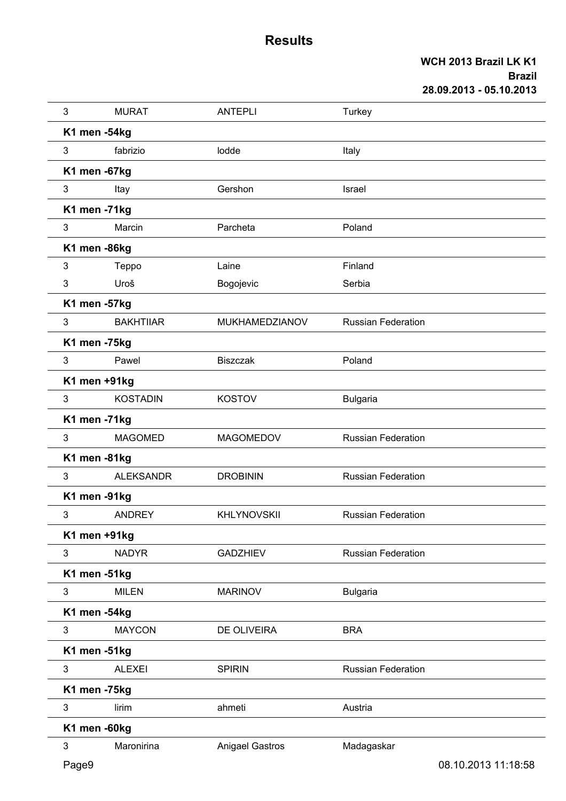| 3     | <b>MURAT</b>     | <b>ANTEPLI</b>         | Turkey                    |                     |
|-------|------------------|------------------------|---------------------------|---------------------|
|       | K1 men -54kg     |                        |                           |                     |
| 3     | fabrizio         | lodde                  | Italy                     |                     |
|       | K1 men -67kg     |                        |                           |                     |
| 3     | Itay             | Gershon                | Israel                    |                     |
|       | K1 men -71kg     |                        |                           |                     |
| 3     | Marcin           | Parcheta               | Poland                    |                     |
|       | K1 men -86kg     |                        |                           |                     |
| 3     | Teppo            | Laine                  | Finland                   |                     |
| 3     | Uroš             | Bogojevic              | Serbia                    |                     |
|       | K1 men -57kg     |                        |                           |                     |
| 3     | <b>BAKHTIIAR</b> | MUKHAMEDZIANOV         | <b>Russian Federation</b> |                     |
|       | K1 men -75kg     |                        |                           |                     |
| 3     | Pawel            | <b>Biszczak</b>        | Poland                    |                     |
|       | K1 men +91kg     |                        |                           |                     |
| 3     | <b>KOSTADIN</b>  | <b>KOSTOV</b>          | <b>Bulgaria</b>           |                     |
|       | K1 men -71kg     |                        |                           |                     |
| 3     | <b>MAGOMED</b>   | <b>MAGOMEDOV</b>       | <b>Russian Federation</b> |                     |
|       | K1 men -81kg     |                        |                           |                     |
| 3     | <b>ALEKSANDR</b> | <b>DROBININ</b>        | <b>Russian Federation</b> |                     |
|       | K1 men -91kg     |                        |                           |                     |
| 3     | <b>ANDREY</b>    | <b>KHLYNOVSKII</b>     | <b>Russian Federation</b> |                     |
|       | K1 men +91kg     |                        |                           |                     |
| 3     | <b>NADYR</b>     | <b>GADZHIEV</b>        | <b>Russian Federation</b> |                     |
|       | K1 men -51kg     |                        |                           |                     |
| 3     | <b>MILEN</b>     | <b>MARINOV</b>         | <b>Bulgaria</b>           |                     |
|       | K1 men -54kg     |                        |                           |                     |
| 3     | <b>MAYCON</b>    | DE OLIVEIRA            | <b>BRA</b>                |                     |
|       | K1 men -51kg     |                        |                           |                     |
| 3     | <b>ALEXEI</b>    | <b>SPIRIN</b>          | <b>Russian Federation</b> |                     |
|       | K1 men -75kg     |                        |                           |                     |
| 3     | lirim            | ahmeti                 | Austria                   |                     |
|       | K1 men -60kg     |                        |                           |                     |
| 3     | Maronirina       | <b>Anigael Gastros</b> | Madagaskar                |                     |
| Page9 |                  |                        |                           | 08.10.2013 11:18:58 |